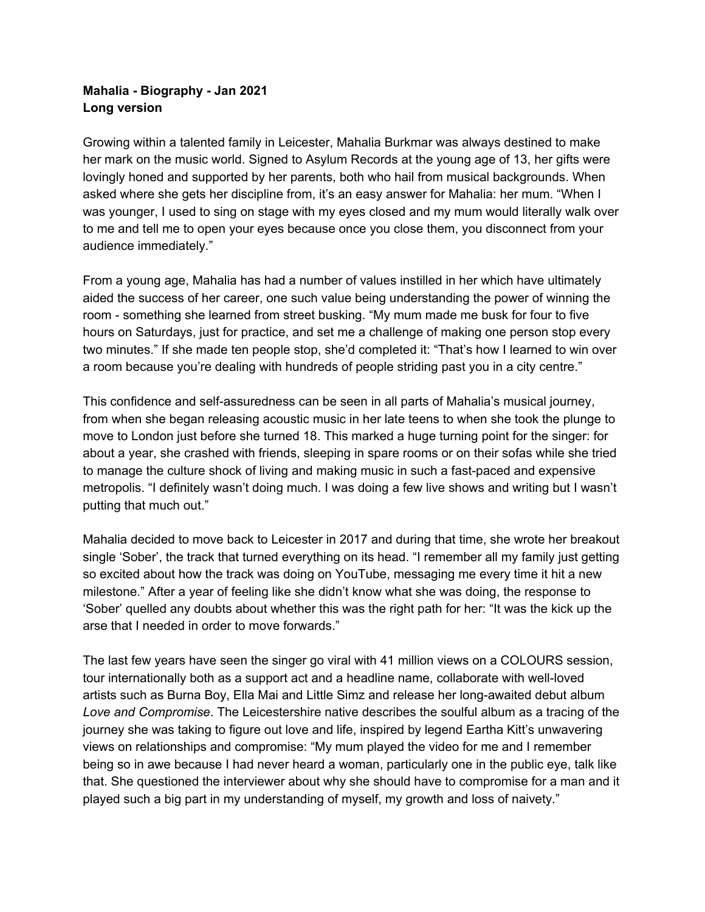## **Mahalia - Biography - Jan 2021 Long version**

Growing within a talented family in Leicester, Mahalia Burkmar was always destined to make her mark on the music world. Signed to Asylum Records at the young age of 13, her gifts were lovingly honed and supported by her parents, both who hail from musical backgrounds. When asked where she gets her discipline from, it's an easy answer for Mahalia: her mum. "When I was younger, I used to sing on stage with my eyes closed and my mum would literally walk over to me and tell me to open your eyes because once you close them, you disconnect from your audience immediately."

From a young age, Mahalia has had a number of values instilled in her which have ultimately aided the success of her career, one such value being understanding the power of winning the room - something she learned from street busking. "My mum made me busk for four to five hours on Saturdays, just for practice, and set me a challenge of making one person stop every two minutes." If she made ten people stop, she'd completed it: "That's how I learned to win over a room because you're dealing with hundreds of people striding past you in a city centre."

This confidence and self-assuredness can be seen in all parts of Mahalia's musical journey, from when she began releasing acoustic music in her late teens to when she took the plunge to move to London just before she turned 18. This marked a huge turning point for the singer: for about a year, she crashed with friends, sleeping in spare rooms or on their sofas while she tried to manage the culture shock of living and making music in such a fast-paced and expensive metropolis. "I definitely wasn't doing much. I was doing a few live shows and writing but I wasn't putting that much out."

Mahalia decided to move back to Leicester in 2017 and during that time, she wrote her breakout single 'Sober', the track that turned everything on its head. "I remember all my family just getting so excited about how the track was doing on YouTube, messaging me every time it hit a new milestone." After a year of feeling like she didn't know what she was doing, the response to 'Sober' quelled any doubts about whether this was the right path for her: "It was the kick up the arse that I needed in order to move forwards."

The last few years have seen the singer go viral with 41 million views on a COLOURS session, tour internationally both as a support act and a headline name, collaborate with well-loved artists such as Burna Boy, Ella Mai and Little Simz and release her long-awaited debut album *Love and Compromise*. The Leicestershire native describes the soulful album as a tracing of the journey she was taking to figure out love and life, inspired by legend Eartha Kitt's unwavering views on relationships and compromise: "My mum played the video for me and I remember being so in awe because I had never heard a woman, particularly one in the public eye, talk like that. She questioned the interviewer about why she should have to compromise for a man and it played such a big part in my understanding of myself, my growth and loss of naivety."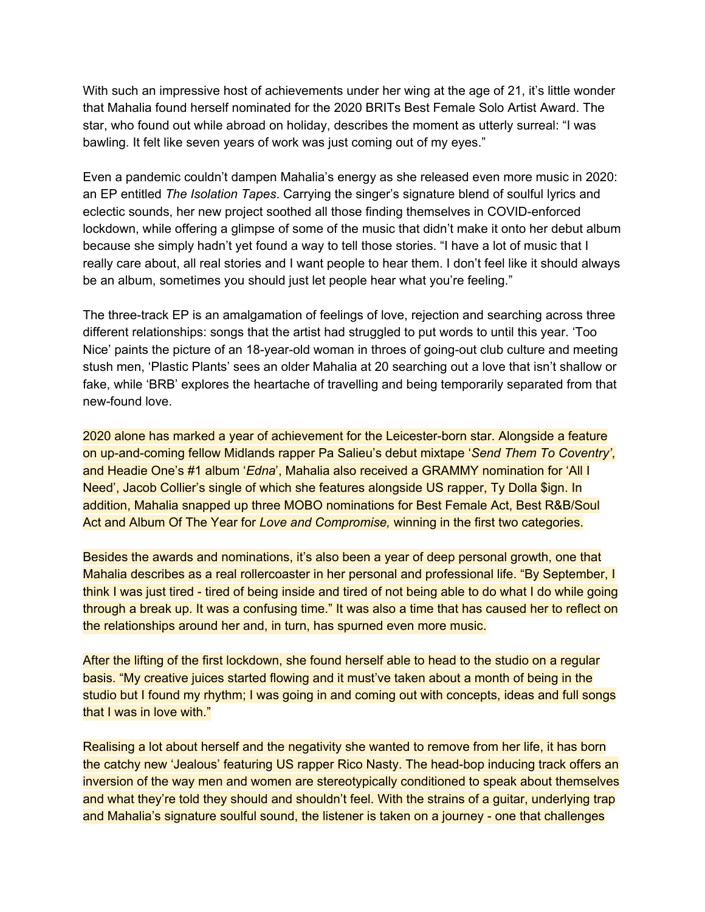With such an impressive host of achievements under her wing at the age of 21, it's little wonder that Mahalia found herself nominated for the 2020 BRITs Best Female Solo Artist Award. The star, who found out while abroad on holiday, describes the moment as utterly surreal: "I was bawling. It felt like seven years of work was just coming out of my eyes."

Even a pandemic couldn't dampen Mahalia's energy as she released even more music in 2020: an EP entitled *The Isolation Tapes*. Carrying the singer's signature blend of soulful lyrics and eclectic sounds, her new project soothed all those finding themselves in COVID-enforced lockdown, while offering a glimpse of some of the music that didn't make it onto her debut album because she simply hadn't yet found a way to tell those stories. "I have a lot of music that I really care about, all real stories and I want people to hear them. I don't feel like it should always be an album, sometimes you should just let people hear what you're feeling."

The three-track EP is an amalgamation of feelings of love, rejection and searching across three different relationships: songs that the artist had struggled to put words to until this year. 'Too Nice' paints the picture of an 18-year-old woman in throes of going-out club culture and meeting stush men, 'Plastic Plants' sees an older Mahalia at 20 searching out a love that isn't shallow or fake, while 'BRB' explores the heartache of travelling and being temporarily separated from that new-found love.

2020 alone has marked a year of achievement for the Leicester-born star. Alongside a feature on up-and-coming fellow Midlands rapper Pa Salieu's debut mixtape '*Send Them To Coventry'*, and Headie One's #1 album '*Edna*', Mahalia also received a GRAMMY nomination for 'All I Need', Jacob Collier's single of which she features alongside US rapper, Ty Dolla \$ign. In addition, Mahalia snapped up three MOBO nominations for Best Female Act, Best R&B/Soul Act and Album Of The Year for *Love and Compromise,* winning in the first two categories.

Besides the awards and nominations, it's also been a year of deep personal growth, one that Mahalia describes as a real rollercoaster in her personal and professional life. "By September, I think I was just tired - tired of being inside and tired of not being able to do what I do while going through a break up. It was a confusing time." It was also a time that has caused her to reflect on the relationships around her and, in turn, has spurned even more music.

After the lifting of the first lockdown, she found herself able to head to the studio on a regular basis. "My creative juices started flowing and it must've taken about a month of being in the studio but I found my rhythm; I was going in and coming out with concepts, ideas and full songs that I was in love with."

Realising a lot about herself and the negativity she wanted to remove from her life, it has born the catchy new 'Jealous' featuring US rapper Rico Nasty. The head-bop inducing track offers an inversion of the way men and women are stereotypically conditioned to speak about themselves and what they're told they should and shouldn't feel. With the strains of a guitar, underlying trap and Mahalia's signature soulful sound, the listener is taken on a journey - one that challenges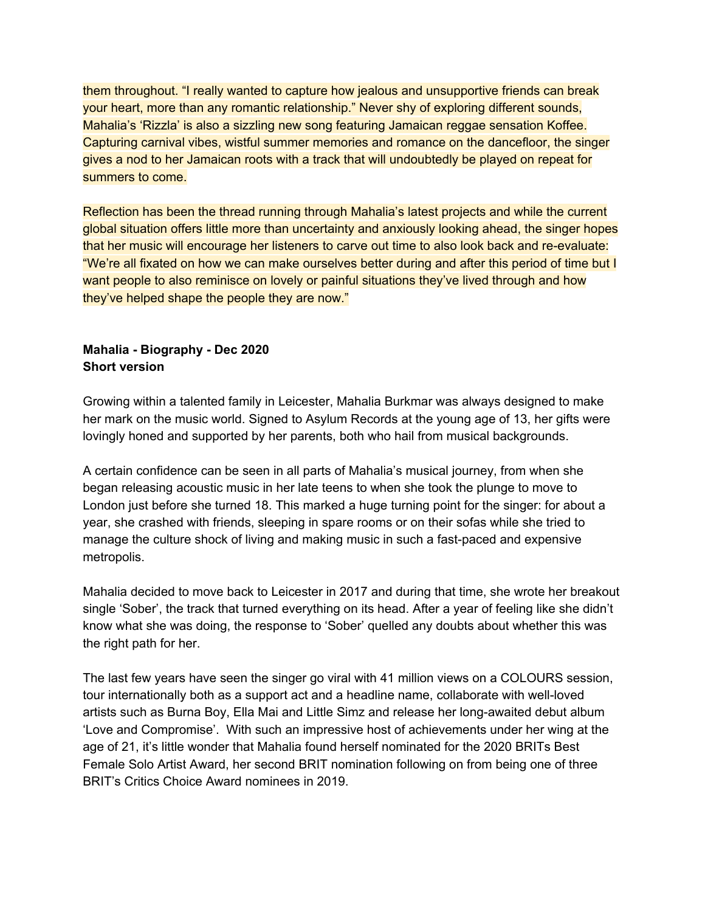them throughout. "I really wanted to capture how jealous and unsupportive friends can break your heart, more than any romantic relationship." Never shy of exploring different sounds, Mahalia's 'Rizzla' is also a sizzling new song featuring Jamaican reggae sensation Koffee. Capturing carnival vibes, wistful summer memories and romance on the dancefloor, the singer gives a nod to her Jamaican roots with a track that will undoubtedly be played on repeat for summers to come.

Reflection has been the thread running through Mahalia's latest projects and while the current global situation offers little more than uncertainty and anxiously looking ahead, the singer hopes that her music will encourage her listeners to carve out time to also look back and re-evaluate: "We're all fixated on how we can make ourselves better during and after this period of time but I want people to also reminisce on lovely or painful situations they've lived through and how they've helped shape the people they are now."

## **Mahalia - Biography - Dec 2020 Short version**

Growing within a talented family in Leicester, Mahalia Burkmar was always designed to make her mark on the music world. Signed to Asylum Records at the young age of 13, her gifts were lovingly honed and supported by her parents, both who hail from musical backgrounds.

A certain confidence can be seen in all parts of Mahalia's musical journey, from when she began releasing acoustic music in her late teens to when she took the plunge to move to London just before she turned 18. This marked a huge turning point for the singer: for about a year, she crashed with friends, sleeping in spare rooms or on their sofas while she tried to manage the culture shock of living and making music in such a fast-paced and expensive metropolis.

Mahalia decided to move back to Leicester in 2017 and during that time, she wrote her breakout single 'Sober', the track that turned everything on its head. After a year of feeling like she didn't know what she was doing, the response to 'Sober' quelled any doubts about whether this was the right path for her.

The last few years have seen the singer go viral with 41 million views on a COLOURS session, tour internationally both as a support act and a headline name, collaborate with well-loved artists such as Burna Boy, Ella Mai and Little Simz and release her long-awaited debut album 'Love and Compromise'. With such an impressive host of achievements under her wing at the age of 21, it's little wonder that Mahalia found herself nominated for the 2020 BRITs Best Female Solo Artist Award, her second BRIT nomination following on from being one of three BRIT's Critics Choice Award nominees in 2019.